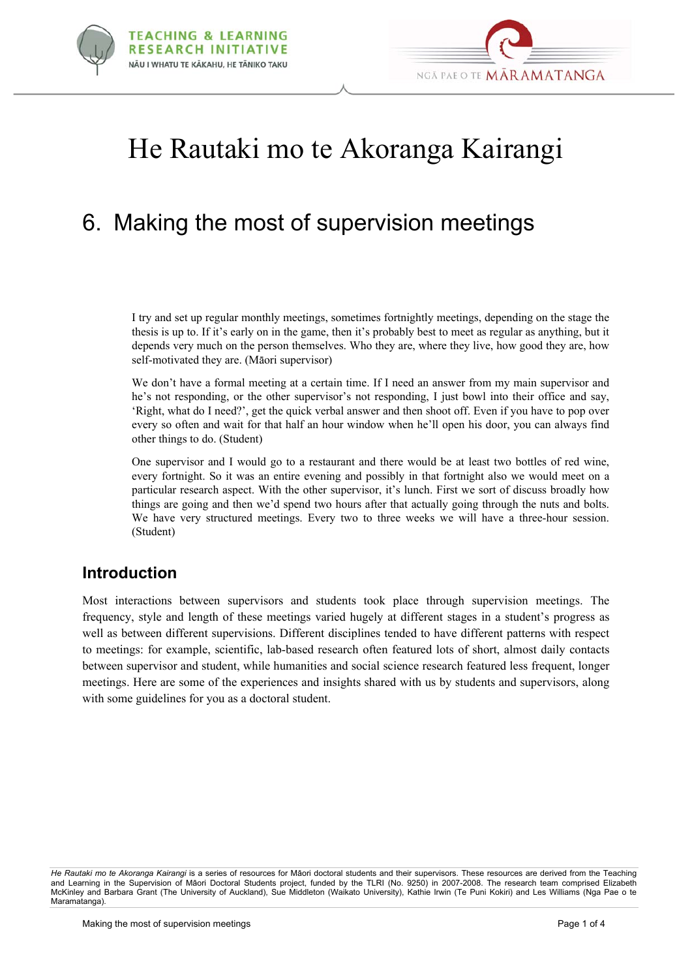



# He Rautaki mo te Akoranga Kairangi

# 6. Making the most of supervision meetings

I try and set up regular monthly meetings, sometimes fortnightly meetings, depending on the stage the thesis is up to. If it's early on in the game, then it's probably best to meet as regular as anything, but it depends very much on the person themselves. Who they are, where they live, how good they are, how self-motivated they are. (Mäori supervisor)

We don't have a formal meeting at a certain time. If I need an answer from my main supervisor and he's not responding, or the other supervisor's not responding, I just bowl into their office and say, 'Right, what do I need?', get the quick verbal answer and then shoot off. Even if you have to pop over every so often and wait for that half an hour window when he'll open his door, you can always find other things to do. (Student)

One supervisor and I would go to a restaurant and there would be at least two bottles of red wine, every fortnight. So it was an entire evening and possibly in that fortnight also we would meet on a particular research aspect. With the other supervisor, it's lunch. First we sort of discuss broadly how things are going and then we'd spend two hours after that actually going through the nuts and bolts. We have very structured meetings. Every two to three weeks we will have a three-hour session. (Student)

#### **Introduction**

Most interactions between supervisors and students took place through supervision meetings. The frequency, style and length of these meetings varied hugely at different stages in a student's progress as well as between different supervisions. Different disciplines tended to have different patterns with respect to meetings: for example, scientific, lab-based research often featured lots of short, almost daily contacts between supervisor and student, while humanities and social science research featured less frequent, longer meetings. Here are some of the experiences and insights shared with us by students and supervisors, along with some guidelines for you as a doctoral student.

*He Rautaki mo te Akoranga Kairangi* is a series of resources for Mäori doctoral students and their supervisors. These resources are derived from the Teaching and Learning in the Supervision of Māori Doctoral Students project, funded by the TLRI (No. 9250) in 2007-2008. The research team comprised Elizabeth McKinley and Barbara Grant (The University of Auckland), Sue Middleton (Waikato University), Kathie Irwin (Te Puni Kokiri) and Les Williams (Nga Pae o te Maramatanga).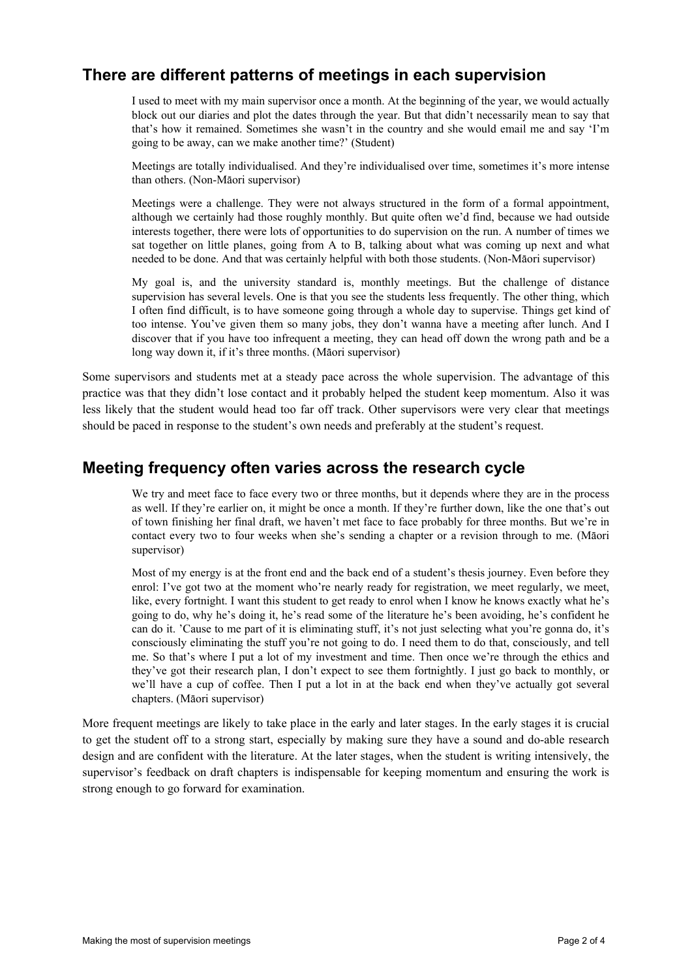## **There are different patterns of meetings in each supervision**

I used to meet with my main supervisor once a month. At the beginning of the year, we would actually block out our diaries and plot the dates through the year. But that didn't necessarily mean to say that that's how it remained. Sometimes she wasn't in the country and she would email me and say 'I'm going to be away, can we make another time?' (Student)

Meetings are totally individualised. And they're individualised over time, sometimes it's more intense than others. (Non-Mäori supervisor)

Meetings were a challenge. They were not always structured in the form of a formal appointment, although we certainly had those roughly monthly. But quite often we'd find, because we had outside interests together, there were lots of opportunities to do supervision on the run. A number of times we sat together on little planes, going from A to B, talking about what was coming up next and what needed to be done. And that was certainly helpful with both those students. (Non-Mäori supervisor)

My goal is, and the university standard is, monthly meetings. But the challenge of distance supervision has several levels. One is that you see the students less frequently. The other thing, which I often find difficult, is to have someone going through a whole day to supervise. Things get kind of too intense. You've given them so many jobs, they don't wanna have a meeting after lunch. And I discover that if you have too infrequent a meeting, they can head off down the wrong path and be a long way down it, if it's three months. (Mäori supervisor)

Some supervisors and students met at a steady pace across the whole supervision. The advantage of this practice was that they didn't lose contact and it probably helped the student keep momentum. Also it was less likely that the student would head too far off track. Other supervisors were very clear that meetings should be paced in response to the student's own needs and preferably at the student's request.

#### **Meeting frequency often varies across the research cycle**

We try and meet face to face every two or three months, but it depends where they are in the process as well. If they're earlier on, it might be once a month. If they're further down, like the one that's out of town finishing her final draft, we haven't met face to face probably for three months. But we're in contact every two to four weeks when she's sending a chapter or a revision through to me. (Mäori supervisor)

Most of my energy is at the front end and the back end of a student's thesis journey. Even before they enrol: I've got two at the moment who're nearly ready for registration, we meet regularly, we meet, like, every fortnight. I want this student to get ready to enrol when I know he knows exactly what he's going to do, why he's doing it, he's read some of the literature he's been avoiding, he's confident he can do it. 'Cause to me part of it is eliminating stuff, it's not just selecting what you're gonna do, it's consciously eliminating the stuff you're not going to do. I need them to do that, consciously, and tell me. So that's where I put a lot of my investment and time. Then once we're through the ethics and they've got their research plan, I don't expect to see them fortnightly. I just go back to monthly, or we'll have a cup of coffee. Then I put a lot in at the back end when they've actually got several chapters. (Mäori supervisor)

More frequent meetings are likely to take place in the early and later stages. In the early stages it is crucial to get the student off to a strong start, especially by making sure they have a sound and do-able research design and are confident with the literature. At the later stages, when the student is writing intensively, the supervisor's feedback on draft chapters is indispensable for keeping momentum and ensuring the work is strong enough to go forward for examination.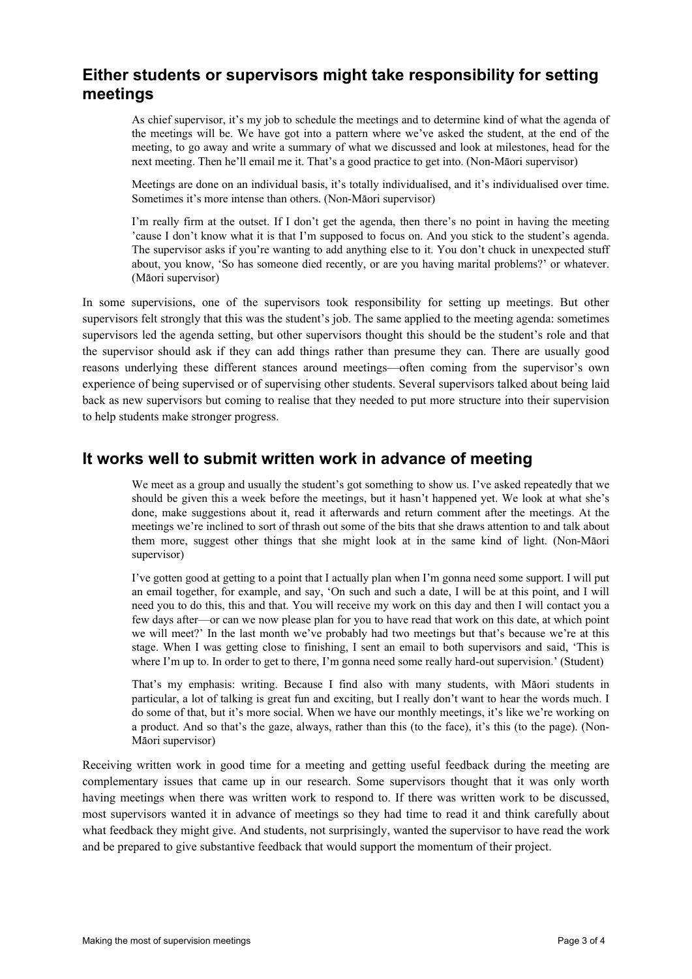#### **Either students or supervisors might take responsibility for setting meetings**

As chief supervisor, it's my job to schedule the meetings and to determine kind of what the agenda of the meetings will be. We have got into a pattern where we've asked the student, at the end of the meeting, to go away and write a summary of what we discussed and look at milestones, head for the next meeting. Then he'll email me it. That's a good practice to get into. (Non-Mäori supervisor)

Meetings are done on an individual basis, it's totally individualised, and it's individualised over time. Sometimes it's more intense than others. (Non-Mäori supervisor)

I'm really firm at the outset. If I don't get the agenda, then there's no point in having the meeting 'cause I don't know what it is that I'm supposed to focus on. And you stick to the student's agenda. The supervisor asks if you're wanting to add anything else to it. You don't chuck in unexpected stuff about, you know, 'So has someone died recently, or are you having marital problems?' or whatever. (Mäori supervisor)

In some supervisions, one of the supervisors took responsibility for setting up meetings. But other supervisors felt strongly that this was the student's job. The same applied to the meeting agenda: sometimes supervisors led the agenda setting, but other supervisors thought this should be the student's role and that the supervisor should ask if they can add things rather than presume they can. There are usually good reasons underlying these different stances around meetings—often coming from the supervisor's own experience of being supervised or of supervising other students. Several supervisors talked about being laid back as new supervisors but coming to realise that they needed to put more structure into their supervision to help students make stronger progress.

#### **It works well to submit written work in advance of meeting**

We meet as a group and usually the student's got something to show us. I've asked repeatedly that we should be given this a week before the meetings, but it hasn't happened yet. We look at what she's done, make suggestions about it, read it afterwards and return comment after the meetings. At the meetings we're inclined to sort of thrash out some of the bits that she draws attention to and talk about them more, suggest other things that she might look at in the same kind of light. (Non-Mäori supervisor)

I've gotten good at getting to a point that I actually plan when I'm gonna need some support. I will put an email together, for example, and say, 'On such and such a date, I will be at this point, and I will need you to do this, this and that. You will receive my work on this day and then I will contact you a few days after—or can we now please plan for you to have read that work on this date, at which point we will meet?' In the last month we've probably had two meetings but that's because we're at this stage. When I was getting close to finishing, I sent an email to both supervisors and said, 'This is where I'm up to. In order to get to there, I'm gonna need some really hard-out supervision.' (Student)

That's my emphasis: writing. Because I find also with many students, with Mäori students in particular, a lot of talking is great fun and exciting, but I really don't want to hear the words much. I do some of that, but it's more social. When we have our monthly meetings, it's like we're working on a product. And so that's the gaze, always, rather than this (to the face), it's this (to the page). (Non-Mäori supervisor)

Receiving written work in good time for a meeting and getting useful feedback during the meeting are complementary issues that came up in our research. Some supervisors thought that it was only worth having meetings when there was written work to respond to. If there was written work to be discussed, most supervisors wanted it in advance of meetings so they had time to read it and think carefully about what feedback they might give. And students, not surprisingly, wanted the supervisor to have read the work and be prepared to give substantive feedback that would support the momentum of their project.